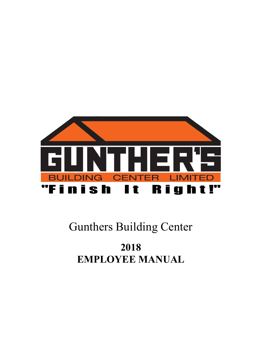

# Gunthers Building Center

# 2018 EMPLOYEE MANUAL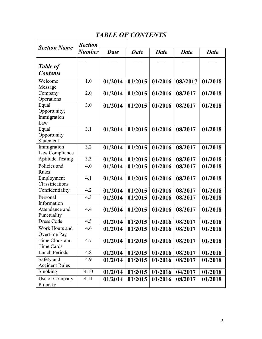# TABLE OF CONTENTS

ľ

| <b>Section Name</b>     | <b>Section</b> |             |         |         |          |         |
|-------------------------|----------------|-------------|---------|---------|----------|---------|
|                         | <b>Number</b>  | <b>Date</b> | Date    | Date    | Date     | Date    |
|                         |                |             |         |         |          |         |
| <b>Table of</b>         |                |             |         |         |          |         |
| <b>Contents</b>         |                |             |         |         |          |         |
| Welcome                 | 1.0            | 01/2014     | 01/2015 | 01/2016 | 08//2017 | 01/2018 |
| Message                 |                |             |         |         |          |         |
| Company                 | 2.0            | 01/2014     | 01/2015 | 01/2016 | 08/2017  | 01/2018 |
| Operations              |                |             |         |         |          |         |
| Equal                   | 3.0            | 01/2014     | 01/2015 | 01/2016 | 08/2017  | 01/2018 |
| Opportunity;            |                |             |         |         |          |         |
| Immigration             |                |             |         |         |          |         |
| Law                     |                |             |         |         |          |         |
| Equal                   | 3.1            | 01/2014     | 01/2015 | 01/2016 | 08/2017  | 01/2018 |
| Opportunity             |                |             |         |         |          |         |
| Statement               |                |             |         |         |          |         |
| Immigration             | 3.2            | 01/2014     | 01/2015 | 01/2016 | 08/2017  | 01/2018 |
| Law Compliance          |                |             |         |         |          |         |
| <b>Aptitude Testing</b> | 3.3            | 01/2014     | 01/2015 | 01/2016 | 08/2017  | 01/2018 |
| Policies and            | 4.0            | 01/2014     | 01/2015 | 01/2016 | 08/2017  | 01/2018 |
| Rules                   |                |             |         |         |          |         |
| Employment              | 4.1            | 01/2014     | 01/2015 | 01/2016 | 08/2017  | 01/2018 |
| Classifications         |                |             |         |         |          |         |
| Confidentiality         | 4.2            | 01/2014     | 01/2015 | 01/2016 | 08/2017  | 01/2018 |
| Personal                | 4.3            | 01/2014     | 01/2015 | 01/2016 | 08/2017  | 01/2018 |
| Information             |                |             |         |         |          |         |
| Attendance and          | 4.4            | 01/2014     | 01/2015 | 01/2016 | 08/2017  | 01/2018 |
| Punctuality             |                |             |         |         |          |         |
| Dress Code              | 4.5            | 01/2014     | 01/2015 | 01/2016 | 08/2017  | 01/2018 |
| Work Hours and          | 4.6            | 01/2014     | 01/2015 | 01/2016 | 08/2017  | 01/2018 |
| Overtime Pay            |                |             |         |         |          |         |
| Time Clock and          | 4.7            | 01/2014     | 01/2015 | 01/2016 | 08/2017  | 01/2018 |
| Time Cards              |                |             |         |         |          |         |
| Lunch Periods           | 4.8            | 01/2014     | 01/2015 | 01/2016 | 08/2017  | 01/2018 |
| Safety and              | 4.9            | 01/2014     | 01/2015 | 01/2016 | 08/2017  | 01/2018 |
| <b>Accident Rules</b>   |                |             |         |         |          |         |
| Smoking                 | 4.10           | 01/2014     | 01/2015 | 01/2016 | 04/2017  | 01/2018 |
| Use of Company          | 4.11           | 01/2014     | 01/2015 | 01/2016 | 08/2017  | 01/2018 |
| Property                |                |             |         |         |          |         |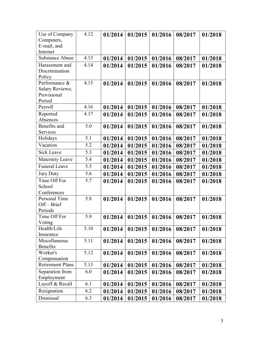| Use of Company          | 4.12 | 01/2014 | 01/2015 | 01/2016 | 08/2017 | 01/2018 |
|-------------------------|------|---------|---------|---------|---------|---------|
| Computers,              |      |         |         |         |         |         |
| E-mail, and             |      |         |         |         |         |         |
| Internet                |      |         |         |         |         |         |
| <b>Substance Abuse</b>  | 4.13 | 01/2014 | 01/2015 | 01/2016 | 08/2017 | 01/2018 |
| Harassment and          | 4.14 | 01/2014 | 01/2015 | 01/2016 | 08/2017 | 01/2018 |
| Discrimination          |      |         |         |         |         |         |
| Policy                  |      |         |         |         |         |         |
| Performance &           | 4.15 | 01/2014 | 01/2015 | 01/2016 | 08/2017 | 01/2018 |
| <b>Salary Reviews;</b>  |      |         |         |         |         |         |
| Provisional<br>Period   |      |         |         |         |         |         |
| Payroll                 | 4.16 |         |         |         |         |         |
|                         |      | 01/2014 | 01/2015 | 01/2016 | 08/2017 | 01/2018 |
| Reported<br>Absences    | 4.17 | 01/2014 | 01/2015 | 01/2016 | 08/2017 | 01/2018 |
| Benefits and            | 5.0  | 01/2014 |         |         |         |         |
| Services                |      |         | 01/2015 | 01/2016 | 08/2017 | 01/2018 |
| Holidays                | 5.1  | 01/2014 | 01/2015 | 01/2016 | 08/2017 | 01/2018 |
| Vacation                | 5.2  | 01/2014 | 01/2015 | 01/2016 | 08/2017 | 01/2018 |
| <b>Sick Leave</b>       | 5.3  | 01/2014 |         | 01/2016 |         |         |
|                         |      |         | 01/2015 |         | 08/2017 | 01/2018 |
| Maternity Leave         | 5.4  | 01/2014 | 01/2015 | 01/2016 | 08/2017 | 01/2018 |
| <b>Funeral Leave</b>    | 5.5  | 01/2014 | 01/2015 | 01/2016 | 08/2017 | 01/2018 |
| Jury Duty               | 5.6  | 01/2014 | 01/2015 | 01/2016 | 08/2017 | 01/2018 |
| Time Off For            | 5.7  | 01/2014 | 01/2015 | 01/2016 | 08/2017 | 01/2018 |
| School                  |      |         |         |         |         |         |
| Conferences             |      |         |         |         |         |         |
| Personal Time           | 5.8  | 01/2014 | 01/2015 | 01/2016 | 08/2017 | 01/2018 |
| Off-Brief               |      |         |         |         |         |         |
| Periods                 | 5.9  |         |         |         |         |         |
| Time Off For<br>Voting  |      | 01/2014 | 01/2015 | 01/2016 | 08/2017 | 01/2018 |
| Health/Life             | 5.10 | 01/2014 | 01/2015 | 01/2016 | 08/2017 | 01/2018 |
| Insurance               |      |         |         |         |         |         |
| Miscellaneous           | 5.11 | 01/2014 | 01/2015 | 01/2016 | 08/2017 | 01/2018 |
| <b>Benefits</b>         |      |         |         |         |         |         |
| Worker's                | 5.12 | 01/2014 | 01/2015 | 01/2016 | 08/2017 | 01/2018 |
| Compensation            |      |         |         |         |         |         |
| <b>Retirement Plans</b> | 5.13 | 01/2014 | 01/2015 | 01/2016 | 08/2017 | 01/2018 |
| Separation from         | 6.0  | 01/2014 | 01/2015 | 01/2016 | 08/2017 | 01/2018 |
| Employment              |      |         |         |         |         |         |
| Layoff & Recall         | 6.1  | 01/2014 | 01/2015 | 01/2016 | 08/2017 | 01/2018 |
| Resignation             | 6.2  | 01/2014 | 01/2015 | 01/2016 | 08/2017 | 01/2018 |
| Dismissal               | 6.3  | 01/2014 | 01/2015 | 01/2016 | 08/2017 | 01/2018 |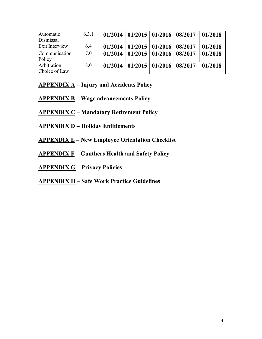| Automatic      | 6.3.1 |         | $01/2014$   $01/2015$   $01/2016$   $08/2017$ |                                   | 01/2018 |
|----------------|-------|---------|-----------------------------------------------|-----------------------------------|---------|
| Dismissal      |       |         |                                               |                                   |         |
| Exit Interview | 6.4   | 01/2014 |                                               | $01/2015$   $01/2016$   $08/2017$ | 01/2018 |
| Communication  | 7.0   | 01/2014 | 01/2015 01/2016 08/2017                       |                                   | 01/2018 |
| Policy         |       |         |                                               |                                   |         |
| Arbitration;   | 8.0   | 01/2014 | 01/2015 01/2016 08/2017                       |                                   | 01/2018 |
| Choice of Law  |       |         |                                               |                                   |         |

 $APPENDIX A - Injury and Accidents Policy$ 

- $APPENDIX B Wage$  advancements Policy
- APPENDIX C Mandatory Retirement Policy
- APPENDIX D Holiday Entitlements
- APPENDIX E New Employee Orientation Checklist
- $APPENDIX F Gunthers Health and Safety Policy$
- APPENDIX G Privacy Policies

# APPENDIX H – Safe Work Practice Guidelines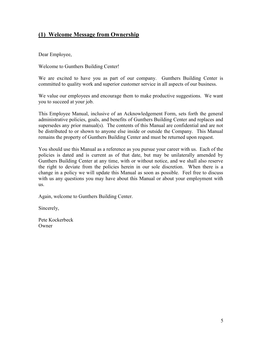## (1) Welcome Message from Ownership

Dear Employee,

Welcome to Gunthers Building Center!

We are excited to have you as part of our company. Gunthers Building Center is committed to quality work and superior customer service in all aspects of our business.

We value our employees and encourage them to make productive suggestions. We want you to succeed at your job.

This Employee Manual, inclusive of an Acknowledgement Form, sets forth the general administrative policies, goals, and benefits of Gunthers Building Center and replaces and supersedes any prior manual(s). The contents of this Manual are confidential and are not be distributed to or shown to anyone else inside or outside the Company. This Manual remains the property of Gunthers Building Center and must be returned upon request.

You should use this Manual as a reference as you pursue your career with us. Each of the policies is dated and is current as of that date, but may be unilaterally amended by Gunthers Building Center at any time, with or without notice, and we shall also reserve the right to deviate from the policies herein in our sole discretion. When there is a change in a policy we will update this Manual as soon as possible. Feel free to discuss with us any questions you may have about this Manual or about your employment with us.

Again, welcome to Gunthers Building Center.

Sincerely,

Pete Kockerbeck **Owner**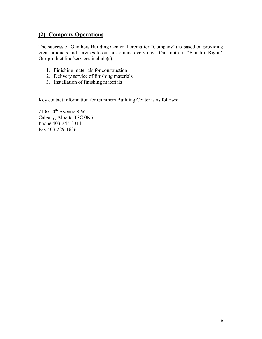# (2) Company Operations

The success of Gunthers Building Center (hereinafter "Company") is based on providing great products and services to our customers, every day. Our motto is "Finish it Right". Our product line/services include(s):

- 1. Finishing materials for construction
- 2. Delivery service of finishing materials
- 3. Installation of finishing materials

Key contact information for Gunthers Building Center is as follows:

 $2100 10$ <sup>th</sup> Avenue S.W. Calgary, Alberta T3C 0K5 Phone 403-245-3311 Fax 403-229-1636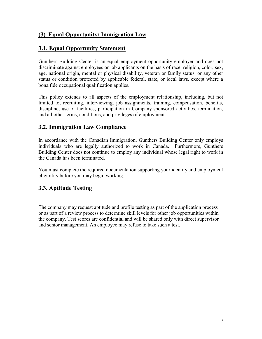# (3) Equal Opportunity; Immigration Law

## 3.1. Equal Opportunity Statement

Gunthers Building Center is an equal employment opportunity employer and does not discriminate against employees or job applicants on the basis of race, religion, color, sex, age, national origin, mental or physical disability, veteran or family status, or any other status or condition protected by applicable federal, state, or local laws, except where a bona fide occupational qualification applies.

This policy extends to all aspects of the employment relationship, including, but not limited to, recruiting, interviewing, job assignments, training, compensation, benefits, discipline, use of facilities, participation in Company-sponsored activities, termination, and all other terms, conditions, and privileges of employment.

## 3.2. Immigration Law Compliance

In accordance with the Canadian Immigration, Gunthers Building Center only employs individuals who are legally authorized to work in Canada. Furthermore, Gunthers Building Center does not continue to employ any individual whose legal right to work in the Canada has been terminated.

You must complete the required documentation supporting your identity and employment eligibility before you may begin working.

# 3.3. Aptitude Testing

The company may request aptitude and profile testing as part of the application process or as part of a review process to determine skill levels for other job opportunities within the company. Test scores are confidential and will be shared only with direct supervisor and senior management. An employee may refuse to take such a test.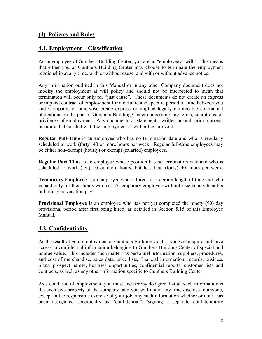#### (4) Policies and Rules

#### 4.1. Employment – Classification

As an employee of Gunthers Building Center, you are an "employee at will". This means that either you or Gunthers Building Center may choose to terminate the employment relationship at any time, with or without cause, and with or without advance notice.

Any information outlined in this Manual or in any other Company document does not modify the employment at will policy and should not be interpreted to mean that termination will occur only for "just cause". These documents do not create an express or implied contract of employment for a definite and specific period of time between you and Company, or otherwise create express or implied legally enforceable contractual obligations on the part of Gunthers Building Center concerning any terms, conditions, or privileges of employment. Any documents or statements, written or oral, prior, current, or future that conflict with the employment at will policy are void.

Regular Full-Time is an employee who has no termination date and who is regularly scheduled to work (forty) 40 or more hours per week. Regular full-time employees may be either non-exempt (hourly) or exempt (salaried) employees.

Regular Part-Time is an employee whose position has no termination date and who is scheduled to work (ten) 10 or more hours, but less than (forty) 40 hours per week.

Temporary Employee is an employee who is hired for a certain length of time and who is paid only for their hours worked. A temporary employee will not receive any benefits or holiday or vacation pay.

Provisional Employee is an employee who has not yet completed the ninety (90) day provisional period after first being hired, as detailed in Section 5.15 of this Employee Manual.

# 4.2. Confidentiality

As the result of your employment at Gunthers Building Center, you will acquire and have access to confidential information belonging to Gunthers Building Center of special and unique value. This includes such matters as personnel information, suppliers, procedures, and cost of merchandise, sales data, price lists, financial information, records, business plans, prospect names, business opportunities, confidential reports, customer lists and contracts, as well as any other information specific to Gunthers Building Center.

As a condition of employment, you must and hereby do agree that all such information is the exclusive property of the company, and you will not at any time disclose to anyone, except in the responsible exercise of your job, any such information whether or not it has been designated specifically as "confidential". Signing a separate confidentiality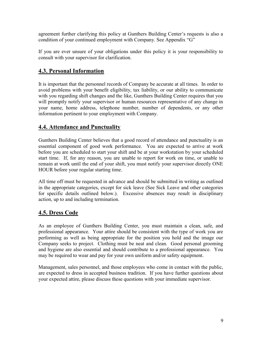agreement further clarifying this policy at Gunthers Building Center's requests is also a condition of your continued employment with Company. See Appendix "G"

If you are ever unsure of your obligations under this policy it is your responsibility to consult with your supervisor for clarification.

# 4.3. Personal Information

It is important that the personnel records of Company be accurate at all times. In order to avoid problems with your benefit eligibility, tax liability, or our ability to communicate with you regarding shift changes and the like, Gunthers Building Center requires that you will promptly notify your supervisor or human resources representative of any change in your name, home address, telephone number, number of dependents, or any other information pertinent to your employment with Company.

## 4.4. Attendance and Punctuality

Gunthers Building Center believes that a good record of attendance and punctuality is an essential component of good work performance. You are expected to arrive at work before you are scheduled to start your shift and be at your workstation by your scheduled start time. If, for any reason, you are unable to report for work on time, or unable to remain at work until the end of your shift, you must notify your supervisor directly ONE HOUR before your regular starting time.

All time off must be requested in advance and should be submitted in writing as outlined in the appropriate categories, except for sick leave (See Sick Leave and other categories for specific details outlined below.). Excessive absences may result in disciplinary action, up to and including termination.

# 4.5. Dress Code

As an employee of Gunthers Building Center, you must maintain a clean, safe, and professional appearance. Your attire should be consistent with the type of work you are performing as well as being appropriate for the position you hold and the image our Company seeks to project. Clothing must be neat and clean. Good personal grooming and hygiene are also essential and should contribute to a professional appearance. You may be required to wear and pay for your own uniform and/or safety equipment.

Management, sales personnel, and those employees who come in contact with the public, are expected to dress in accepted business tradition. If you have further questions about your expected attire, please discuss these questions with your immediate supervisor.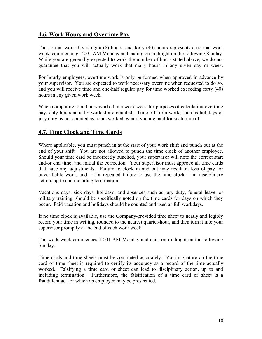## 4.6. Work Hours and Overtime Pay

The normal work day is eight (8) hours, and forty (40) hours represents a normal work week, commencing 12:01 AM Monday and ending on midnight on the following Sunday. While you are generally expected to work the number of hours stated above, we do not guarantee that you will actually work that many hours in any given day or week.

For hourly employees, overtime work is only performed when approved in advance by your supervisor. You are expected to work necessary overtime when requested to do so, and you will receive time and one-half regular pay for time worked exceeding forty (40) hours in any given work week.

When computing total hours worked in a work week for purposes of calculating overtime pay, only hours actually worked are counted. Time off from work, such as holidays or jury duty, is not counted as hours worked even if you are paid for such time off.

## 4.7. Time Clock and Time Cards

Where applicable, you must punch in at the start of your work shift and punch out at the end of your shift. You are not allowed to punch the time clock of another employee. Should your time card be incorrectly punched, your supervisor will note the correct start and/or end time, and initial the correction. Your supervisor must approve all time cards that have any adjustments. Failure to clock in and out may result in loss of pay for unverifiable work, and -- for repeated failure to use the time clock -- in disciplinary action, up to and including termination.

Vacations days, sick days, holidays, and absences such as jury duty, funeral leave, or military training, should be specifically noted on the time cards for days on which they occur. Paid vacation and holidays should be counted and used as full workdays.

If no time clock is available, use the Company-provided time sheet to neatly and legibly record your time in writing, rounded to the nearest quarter-hour, and then turn it into your supervisor promptly at the end of each work week.

The work week commences 12:01 AM Monday and ends on midnight on the following Sunday.

Time cards and time sheets must be completed accurately. Your signature on the time card of time sheet is required to certify its accuracy as a record of the time actually worked. Falsifying a time card or sheet can lead to disciplinary action, up to and including termination. Furthermore, the falsification of a time card or sheet is a fraudulent act for which an employee may be prosecuted.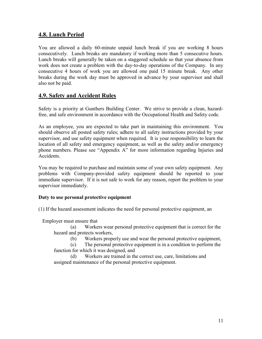#### 4.8. Lunch Period

You are allowed a daily 60-minute unpaid lunch break if you are working 8 hours consecutively. Lunch breaks are mandatory if working more than 5 consecutive hours. Lunch breaks will generally be taken on a staggered schedule so that your absence from work does not create a problem with the day-to-day operations of the Company. In any consecutive 4 hours of work you are allowed one paid 15 minute break. Any other breaks during the work day must be approved in advance by your supervisor and shall also not be paid.

#### 4.9. Safety and Accident Rules

Safety is a priority at Gunthers Building Center. We strive to provide a clean, hazardfree, and safe environment in accordance with the Occupational Health and Safety code.

As an employee, you are expected to take part in maintaining this environment. You should observe all posted safety rules; adhere to all safety instructions provided by your supervisor, and use safety equipment when required. It is your responsibility to learn the location of all safety and emergency equipment, as well as the safety and/or emergency phone numbers. Please see "Appendix A" for more information regarding Injuries and Accidents.

You may be required to purchase and maintain some of your own safety equipment. Any problems with Company-provided safety equipment should be reported to your immediate supervisor. If it is not safe to work for any reason, report the problem to your supervisor immediately.

#### Duty to use personal protective equipment

(1) If the hazard assessment indicates the need for personal protective equipment, an

Employer must ensure that

 (a) Workers wear personal protective equipment that is correct for the hazard and protects workers,

(b) Workers properly use and wear the personal protective equipment,

 (c) The personal protective equipment is in a condition to perform the function for which it was designed, and

 (d) Workers are trained in the correct use, care, limitations and assigned maintenance of the personal protective equipment.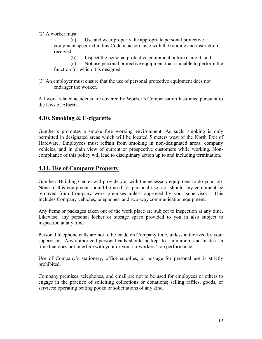(2) A worker must

 (a) Use and wear properly the appropriate personal protective equipment specified in this Code in accordance with the training and instruction received,

(b) Inspect the personal protective equipment before using it, and

 (c) Not use personal protective equipment that is unable to perform the function for which it is designed.

(3) An employer must ensure that the use of personal protective equipment does not endanger the worker.

All work related accidents are covered by Worker's Compensation Insurance pursuant to the laws of Alberta.

#### 4.10. Smoking & E-cigarette

Gunther's promotes a smoke free working environment. As such, smoking is only permitted in designated areas which will be located 5 meters west of the North Exit of Hardware. Employees must refrain from smoking in non-designated areas, company vehicles, and in plain view of current or prospective customers while working. Noncompliance of this policy will lead to disciplinary action up to and including termination.

#### 4.11. Use of Company Property

Gunthers Building Center will provide you with the necessary equipment to do your job. None of this equipment should be used for personal use, nor should any equipment be removed from Company work premises unless approved by your supervisor. This includes Company vehicles, telephones, and two-way communication equipment.

Any items or packages taken out of the work place are subject to inspection at any time. Likewise, any personal locker or storage space provided to you in also subject to inspection at any time.

Personal telephone calls are not to be made on Company time, unless authorized by your supervisor. Any authorized personal calls should be kept to a minimum and made at a time that does not interfere with your or your co-workers' job performance.

Use of Company's stationery, office supplies, or postage for personal use is strictly prohibited.

Company premises, telephones, and email are not to be used for employees or others to engage in the practice of soliciting collections or donations; selling raffles, goods, or services; operating betting pools; or solicitations of any kind.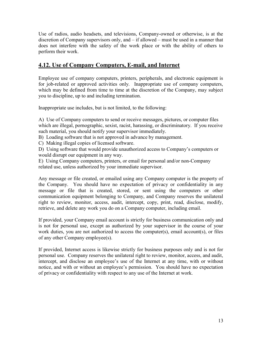Use of radios, audio headsets, and televisions, Company-owned or otherwise, is at the discretion of Company supervisors only, and – if allowed – must be used in a manner that does not interfere with the safety of the work place or with the ability of others to perform their work.

## 4.12. Use of Company Computers, E-mail, and Internet

Employee use of company computers, printers, peripherals, and electronic equipment is for job-related or approved activities only. Inappropriate use of company computers, which may be defined from time to time at the discretion of the Company, may subject you to discipline, up to and including termination.

Inappropriate use includes, but is not limited, to the following:

A) Use of Company computers to send or receive messages, pictures, or computer files which are illegal, pornographic, sexist, racist, harassing, or discriminatory. If you receive such material, you should notify your supervisor immediately.

B) Loading software that is not approved in advance by management.

C) Making illegal copies of licensed software.

D) Using software that would provide unauthorized access to Company's computers or would disrupt our equipment in any way.

E) Using Company computers, printers, or email for personal and/or non-Company related use, unless authorized by your immediate supervisor.

Any message or file created, or emailed using any Company computer is the property of the Company. You should have no expectation of privacy or confidentiality in any message or file that is created, stored, or sent using the computers or other communication equipment belonging to Company, and Company reserves the unilateral right to review, monitor, access, audit, intercept, copy, print, read, disclose, modify, retrieve, and delete any work you do on a Company computer, including email.

If provided, your Company email account is strictly for business communication only and is not for personal use, except as authorized by your supervisor in the course of your work duties, you are not authorized to access the computer(s), email account(s), or files of any other Company employee(s).

If provided, Internet access is likewise strictly for business purposes only and is not for personal use. Company reserves the unilateral right to review, monitor, access, and audit, intercept, and disclose an employee's use of the Internet at any time, with or without notice, and with or without an employee's permission. You should have no expectation of privacy or confidentiality with respect to any use of the Internet at work.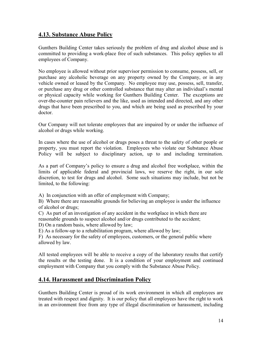#### 4.13. Substance Abuse Policy

Gunthers Building Center takes seriously the problem of drug and alcohol abuse and is committed to providing a work-place free of such substances. This policy applies to all employees of Company.

No employee is allowed without prior supervisor permission to consume, possess, sell, or purchase any alcoholic beverage on any property owned by the Company, or in any vehicle owned or leased by the Company. No employee may use, possess, sell, transfer, or purchase any drug or other controlled substance that may alter an individual's mental or physical capacity while working for Gunthers Building Center. The exceptions are over-the-counter pain relievers and the like, used as intended and directed, and any other drugs that have been prescribed to you, and which are being used as prescribed by your doctor.

Our Company will not tolerate employees that are impaired by or under the influence of alcohol or drugs while working.

In cases where the use of alcohol or drugs poses a threat to the safety of other people or property, you must report the violation. Employees who violate our Substance Abuse Policy will be subject to disciplinary action, up to and including termination.

As a part of Company's policy to ensure a drug and alcohol free workplace, within the limits of applicable federal and provincial laws, we reserve the right, in our sole discretion, to test for drugs and alcohol. Some such situations may include, but not be limited, to the following:

A) In conjunction with an offer of employment with Company;

B) Where there are reasonable grounds for believing an employee is under the influence of alcohol or drugs;

C) As part of an investigation of any accident in the workplace in which there are reasonable grounds to suspect alcohol and/or drugs contributed to the accident;

D) On a random basis, where allowed by law;

E) As a follow-up to a rehabilitation program, where allowed by law;

F) As necessary for the safety of employees, customers, or the general public where allowed by law.

All tested employees will be able to receive a copy of the laboratory results that certify the results or the testing done. It is a condition of your employment and continued employment with Company that you comply with the Substance Abuse Policy.

#### 4.14. Harassment and Discrimination Policy

Gunthers Building Center is proud of its work environment in which all employees are treated with respect and dignity. It is our policy that all employees have the right to work in an environment free from any type of illegal discrimination or harassment, including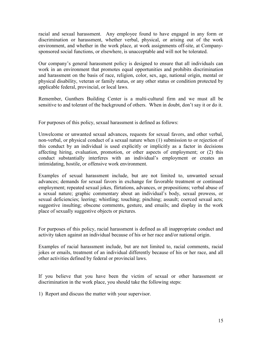racial and sexual harassment. Any employee found to have engaged in any form or discrimination or harassment, whether verbal, physical, or arising out of the work environment, and whether in the work place, at work assignments off-site, at Companysponsored social functions, or elsewhere, is unacceptable and will not be tolerated.

Our company's general harassment policy is designed to ensure that all individuals can work in an environment that promotes equal opportunities and prohibits discrimination and harassment on the basis of race, religion, color, sex, age, national origin, mental or physical disability, veteran or family status, or any other status or condition protected by applicable federal, provincial, or local laws.

Remember, Gunthers Building Center is a multi-cultural firm and we must all be sensitive to and tolerant of the background of others. When in doubt, don't say it or do it.

For purposes of this policy, sexual harassment is defined as follows:

Unwelcome or unwanted sexual advances, requests for sexual favors, and other verbal, non-verbal, or physical conduct of a sexual nature when (1) submission to or rejection of this conduct by an individual is used explicitly or implicitly as a factor in decisions affecting hiring, evaluation, promotion, or other aspects of employment; or (2) this conduct substantially interferes with an individual's employment or creates an intimidating, hostile, or offensive work environment.

Examples of sexual harassment include, but are not limited to, unwanted sexual advances; demands for sexual favors in exchange for favorable treatment or continued employment; repeated sexual jokes, flirtations, advances, or propositions; verbal abuse of a sexual nature; graphic commentary about an individual's body, sexual prowess, or sexual deficiencies; leering; whistling; touching; pinching; assault; coerced sexual acts; suggestive insulting; obscene comments, gesture, and emails; and display in the work place of sexually suggestive objects or pictures.

For purposes of this policy, racial harassment is defined as all inappropriate conduct and activity taken against an individual because of his or her race and/or national origin.

Examples of racial harassment include, but are not limited to, racial comments, racial jokes or emails, treatment of an individual differently because of his or her race, and all other activities defined by federal or provincial laws.

If you believe that you have been the victim of sexual or other harassment or discrimination in the work place, you should take the following steps:

1) Report and discuss the matter with your supervisor.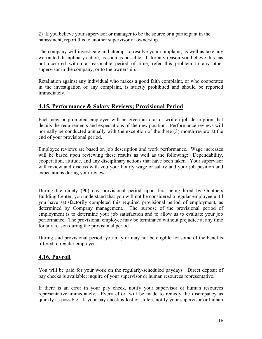2) If you believe your supervisor or manager to be the source or a participant in the harassment, report this to another supervisor or ownership.

The company will investigate and attempt to resolve your complaint, as well as take any warranted disciplinary action, as soon as possible. If for any reason you believe this has not occurred within a reasonable period of time, refer this problem to any other supervisor in the company, or to the ownership.

Retaliation against any individual who makes a good faith complaint, or who cooperates in the investigation of any complaint, is strictly prohibited and should be reported immediately.

## 4.15. Performance & Salary Reviews; Provisional Period

Each new or promoted employee will be given an oral or written job description that details the requirements and expectations of the new position. Performance reviews will normally be conducted annually with the exception of the three (3) month review at the end of your provisional period.

Employee reviews are based on job description and work performance. Wage increases will be based upon reviewing these results as well as the following: Dependability, cooperation, attitude, and any disciplinary actions that have been taken. Your supervisor will review and discuss with you your hourly wage or salary and your job position and expectations during your review.

During the ninety (90) day provisional period upon first being hired by Gunthers Building Center, you understand that you will not be considered a regular employee until you have satisfactorily completed this required provisional period of employment, as determined by Company management. The purpose of the provisional period of employment is to determine your job satisfaction and to allow us to evaluate your job performance. The provisional employee may be terminated without prejudice at any time for any reason during the provisional period.

During said provisional period, you may or may not be eligible for some of the benefits offered to regular employees.

# 4.16. Payroll

You will be paid for your work on the regularly-scheduled paydays. Direct deposit of pay checks is available; inquire of your supervisor or human resources representative.

If there is an error in your pay check, notify your supervisor or human resources representative immediately. Every effort will be made to remedy the discrepancy as quickly as possible. If your pay check is lost or stolen, notify your supervisor or human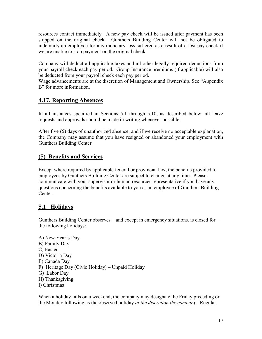resources contact immediately. A new pay check will be issued after payment has been stopped on the original check. Gunthers Building Center will not be obligated to indemnify an employee for any monetary loss suffered as a result of a lost pay check if we are unable to stop payment on the original check.

Company will deduct all applicable taxes and all other legally required deductions from your payroll check each pay period. Group Insurance premiums (if applicable) will also be deducted from your payroll check each pay period.

Wage advancements are at the discretion of Management and Ownership. See "Appendix B" for more information.

# 4.17. Reporting Absences

In all instances specified in Sections 5.1 through 5.10, as described below, all leave requests and approvals should be made in writing whenever possible.

After five (5) days of unauthorized absence, and if we receive no acceptable explanation, the Company may assume that you have resigned or abandoned your employment with Gunthers Building Center.

# (5) Benefits and Services

Except where required by applicable federal or provincial law, the benefits provided to employees by Gunthers Building Center are subject to change at any time. Please communicate with your supervisor or human resources representative if you have any questions concerning the benefits available to you as an employee of Gunthers Building Center.

# 5.1\_ Holidays

Gunthers Building Center observes – and except in emergency situations, is closed for – the following holidays:

A) New Year's Day B) Family Day C) Easter D) Victoria Day E) Canada Day F) Heritage Day (Civic Holiday) – Unpaid Holiday G) Labor Day H) Thanksgiving I) Christmas

When a holiday falls on a weekend, the company may designate the Friday preceding or the Monday following as the observed holiday *at the discretion the company*. Regular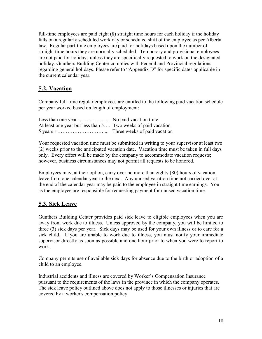full-time employees are paid eight (8) straight time hours for each holiday if the holiday falls on a regularly scheduled work day or scheduled shift of the employee as per Alberta law. Regular part-time employees are paid for holidays based upon the number of straight time hours they are normally scheduled. Temporary and provisional employees are not paid for holidays unless they are specifically requested to work on the designated holiday. Gunthers Building Center complies with Federal and Provincial regulations regarding general holidays. Please refer to "Appendix D" for specific dates applicable in the current calendar year.

# 5.2. Vacation

Company full-time regular employees are entitled to the following paid vacation schedule per year worked based on length of employment:

| Less than one year  No paid vacation time                    |  |
|--------------------------------------------------------------|--|
| At least one year but less than 5 Two weeks of paid vacation |  |
|                                                              |  |

Your requested vacation time must be submitted in writing to your supervisor at least two (2) weeks prior to the anticipated vacation date. Vacation time must be taken in full days only. Every effort will be made by the company to accommodate vacation requests; however, business circumstances may not permit all requests to be honored.

Employees may, at their option, carry over no more than eighty (80) hours of vacation leave from one calendar year to the next. Any unused vacation time not carried over at the end of the calendar year may be paid to the employee in straight time earnings. You as the employee are responsible for requesting payment for unused vacation time.

# 5.3. Sick Leave

Gunthers Building Center provides paid sick leave to eligible employees when you are away from work due to illness. Unless approved by the company, you will be limited to three (3) sick days per year. Sick days may be used for your own illness or to care for a sick child. If you are unable to work due to illness, you must notify your immediate supervisor directly as soon as possible and one hour prior to when you were to report to work.

Company permits use of available sick days for absence due to the birth or adoption of a child to an employee.

Industrial accidents and illness are covered by Worker's Compensation Insurance pursuant to the requirements of the laws in the province in which the company operates. The sick leave policy outlined above does not apply to those illnesses or injuries that are covered by a worker's compensation policy.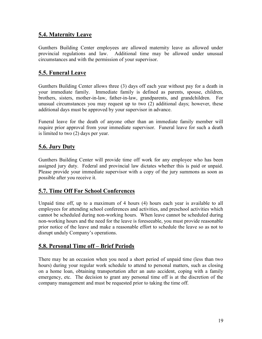# 5.4. Maternity Leave

Gunthers Building Center employees are allowed maternity leave as allowed under provincial regulations and law. Additional time may be allowed under unusual circumstances and with the permission of your supervisor.

# 5.5. Funeral Leave

Gunthers Building Center allows three (3) days off each year without pay for a death in your immediate family. Immediate family is defined as parents, spouse, children, brothers, sisters, mother-in-law, father-in-law, grandparents, and grandchildren. For unusual circumstances you may request up to two (2) additional days; however, these additional days must be approved by your supervisor in advance.

Funeral leave for the death of anyone other than an immediate family member will require prior approval from your immediate supervisor. Funeral leave for such a death is limited to two (2) days per year.

# 5.6. Jury Duty

Gunthers Building Center will provide time off work for any employee who has been assigned jury duty. Federal and provincial law dictates whether this is paid or unpaid. Please provide your immediate supervisor with a copy of the jury summons as soon as possible after you receive it.

#### 5.7. Time Off For School Conferences

Unpaid time off, up to a maximum of 4 hours (4) hours each year is available to all employees for attending school conferences and activities, and preschool activities which cannot be scheduled during non-working hours. When leave cannot be scheduled during non-working hours and the need for the leave is foreseeable, you must provide reasonable prior notice of the leave and make a reasonable effort to schedule the leave so as not to disrupt unduly Company's operations.

# 5.8. Personal Time off – Brief Periods

There may be an occasion when you need a short period of unpaid time (less than two hours) during your regular work schedule to attend to personal matters, such as closing on a home loan, obtaining transportation after an auto accident, coping with a family emergency, etc. The decision to grant any personal time off is at the discretion of the company management and must be requested prior to taking the time off.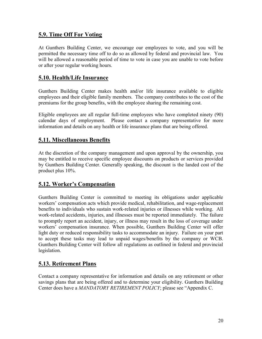## 5.9. Time Off For Voting

At Gunthers Building Center, we encourage our employees to vote, and you will be permitted the necessary time off to do so as allowed by federal and provincial law. You will be allowed a reasonable period of time to vote in case you are unable to vote before or after your regular working hours.

#### 5.10. Health/Life Insurance

Gunthers Building Center makes health and/or life insurance available to eligible employees and their eligible family members. The company contributes to the cost of the premiums for the group benefits, with the employee sharing the remaining cost.

Eligible employees are all regular full-time employees who have completed ninety (90) calendar days of employment. Please contact a company representative for more information and details on any health or life insurance plans that are being offered.

## 5.11. Miscellaneous Benefits

At the discretion of the company management and upon approval by the ownership, you may be entitled to receive specific employee discounts on products or services provided by Gunthers Building Center. Generally speaking, the discount is the landed cost of the product plus 10%.

# 5.12. Worker's Compensation

Gunthers Building Center is committed to meeting its obligations under applicable workers' compensation acts which provide medical, rehabilitation, and wage-replacement benefits to individuals who sustain work-related injuries or illnesses while working. All work-related accidents, injuries, and illnesses must be reported immediately. The failure to promptly report an accident, injury, or illness may result in the loss of coverage under workers' compensation insurance. When possible, Gunthers Building Center will offer light duty or reduced responsibility tasks to accommodate an injury. Failure on your part to accept these tasks may lead to unpaid wages/benefits by the company or WCB. Gunthers Building Center will follow all regulations as outlined in federal and provincial legislation.

# 5.13. Retirement Plans

Contact a company representative for information and details on any retirement or other savings plans that are being offered and to determine your eligibility. Gunthers Building Center does have a MANDATORY RETIREMENT POLICY; please see "Appendix C.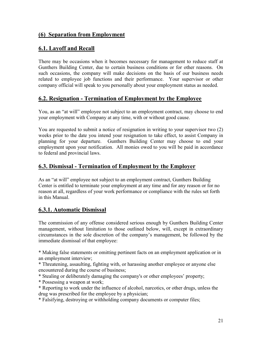## (6) Separation from Employment

## 6.1. Layoff and Recall

There may be occasions when it becomes necessary for management to reduce staff at Gunthers Building Center, due to certain business conditions or for other reasons. On such occasions, the company will make decisions on the basis of our business needs related to employee job functions and their performance. Your supervisor or other company official will speak to you personally about your employment status as needed.

## 6.2. Resignation - Termination of Employment by the Employee

You, as an "at will" employee not subject to an employment contract, may choose to end your employment with Company at any time, with or without good cause.

You are requested to submit a notice of resignation in writing to your supervisor two (2) weeks prior to the date you intend your resignation to take effect, to assist Company in planning for your departure. Gunthers Building Center may choose to end your employment upon your notification. All monies owed to you will be paid in accordance to federal and provincial laws.

#### 6.3. Dismissal - Termination of Employment by the Employer

As an "at will" employee not subject to an employment contract, Gunthers Building Center is entitled to terminate your employment at any time and for any reason or for no reason at all, regardless of your work performance or compliance with the rules set forth in this Manual.

#### 6.3.1. Automatic Dismissal

The commission of any offense considered serious enough by Gunthers Building Center management, without limitation to those outlined below, will, except in extraordinary circumstances in the sole discretion of the company's management, be followed by the immediate dismissal of that employee:

\* Making false statements or omitting pertinent facts on an employment application or in an employment interview;

\* Threatening, assaulting, fighting with, or harassing another employee or anyone else encountered during the course of business;

\* Stealing or deliberately damaging the company's or other employees' property;

\* Possessing a weapon at work;

\* Reporting to work under the influence of alcohol, narcotics, or other drugs, unless the drug was prescribed for the employee by a physician;

\* Falsifying, destroying or withholding company documents or computer files;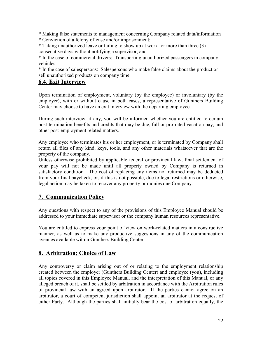\* Making false statements to management concerning Company related data/information

\* Conviction of a felony offense and/or imprisonment;

\* Taking unauthorized leave or failing to show up at work for more than three (3) consecutive days without notifying a supervisor; and

\* In the case of commercial drivers: Transporting unauthorized passengers in company vehicles

\* In the case of salespersons: Salespersons who make false claims about the product or sell unauthorized products on company time.

# 6.4. Exit Interview

Upon termination of employment, voluntary (by the employee) or involuntary (by the employer), with or without cause in both cases, a representative of Gunthers Building Center may choose to have an exit interview with the departing employee.

During such interview, if any, you will be informed whether you are entitled to certain post-termination benefits and credits that may be due, full or pro-rated vacation pay, and other post-employment related matters.

Any employee who terminates his or her employment, or is terminated by Company shall return all files of any kind, keys, tools, and any other materials whatsoever that are the property of the company.

Unless otherwise prohibited by applicable federal or provincial law, final settlement of your pay will not be made until all property owned by Company is returned in satisfactory condition. The cost of replacing any items not returned may be deducted from your final paycheck, or, if this is not possible, due to legal restrictions or otherwise, legal action may be taken to recover any property or monies due Company.

# 7. Communication Policy

Any questions with respect to any of the provisions of this Employee Manual should be addressed to your immediate supervisor or the company human resources representative.

You are entitled to express your point of view on work-related matters in a constructive manner, as well as to make any productive suggestions in any of the communication avenues available within Gunthers Building Center.

# 8. Arbitration; Choice of Law

Any controversy or claim arising out of or relating to the employment relationship created between the employer (Gunthers Building Center) and employee (you), including all topics covered in this Employee Manual, and the interpretation of this Manual, or any alleged breach of it, shall be settled by arbitration in accordance with the Arbitration rules of provincial law with an agreed upon arbitrator. If the parties cannot agree on an arbitrator, a court of competent jurisdiction shall appoint an arbitrator at the request of either Party. Although the parties shall initially bear the cost of arbitration equally, the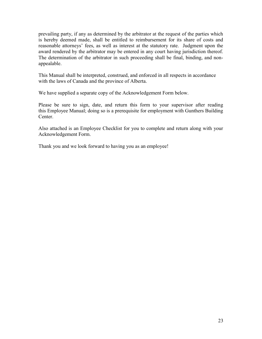prevailing party, if any as determined by the arbitrator at the request of the parties which is hereby deemed made, shall be entitled to reimbursement for its share of costs and reasonable attorneys' fees, as well as interest at the statutory rate. Judgment upon the award rendered by the arbitrator may be entered in any court having jurisdiction thereof. The determination of the arbitrator in such proceeding shall be final, binding, and nonappealable.

This Manual shall be interpreted, construed, and enforced in all respects in accordance with the laws of Canada and the province of Alberta.

We have supplied a separate copy of the Acknowledgement Form below.

Please be sure to sign, date, and return this form to your supervisor after reading this Employee Manual; doing so is a prerequisite for employment with Gunthers Building Center.

Also attached is an Employee Checklist for you to complete and return along with your Acknowledgement Form.

Thank you and we look forward to having you as an employee!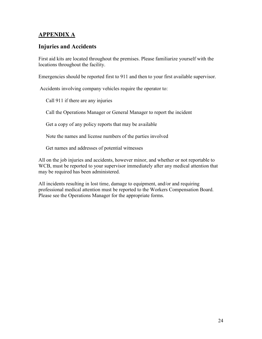## APPENDIX A

## Injuries and Accidents

First aid kits are located throughout the premises. Please familiarize yourself with the locations throughout the facility.

Emergencies should be reported first to 911 and then to your first available supervisor.

Accidents involving company vehicles require the operator to:

Call 911 if there are any injuries

Call the Operations Manager or General Manager to report the incident

Get a copy of any policy reports that may be available

Note the names and license numbers of the parties involved

Get names and addresses of potential witnesses

All on the job injuries and accidents, however minor, and whether or not reportable to WCB, must be reported to your supervisor immediately after any medical attention that may be required has been administered.

All incidents resulting in lost time, damage to equipment, and/or and requiring professional medical attention must be reported to the Workers Compensation Board. Please see the Operations Manager for the appropriate forms.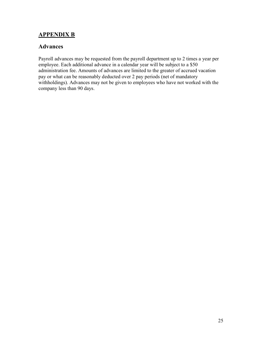## APPENDIX B

#### Advances

Payroll advances may be requested from the payroll department up to 2 times a year per employee. Each additional advance in a calendar year will be subject to a \$50 administration fee. Amounts of advances are limited to the greater of accrued vacation pay or what can be reasonably deducted over 2 pay periods (net of mandatory withholdings). Advances may not be given to employees who have not worked with the company less than 90 days.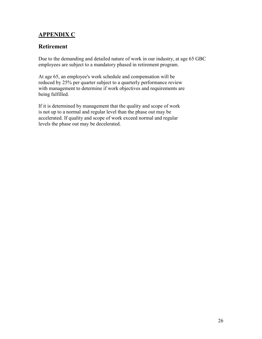# APPENDIX C

#### Retirement

Due to the demanding and detailed nature of work in our industry, at age 65 GBC employees are subject to a mandatory phased in retirement program.

At age 65, an employee's work schedule and compensation will be reduced by 25% per quarter subject to a quarterly performance review with management to determine if work objectives and requirements are being fulfilled.

If it is determined by management that the quality and scope of work is not up to a normal and regular level than the phase out may be accelerated. If quality and scope of work exceed normal and regular levels the phase out may be decelerated.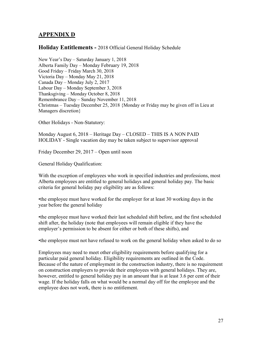## APPENDIX D

#### Holiday Entitlements - 2018 Official General Holiday Schedule

New Year's Day – Saturday January 1, 2018 Alberta Family Day – Monday February 19, 2018 Good Friday – Friday March 30, 2018 Victoria Day – Monday May 21, 2018 Canada Day – Monday July 2, 2017 Labour Day – Monday September 3, 2018 Thanksgiving – Monday October 8, 2018 Remembrance Day – Sunday November 11, 2018 Christmas – Tuesday December 25, 2018 {Monday or Friday may be given off in Lieu at Managers discretion}

Other Holidays - Non-Statutory:

Monday August 6, 2018 – Heritage Day – CLOSED – THIS IS A NON PAID HOLIDAY - Single vacation day may be taken subject to supervisor approval

Friday December 29, 2017 – Open until noon

General Holiday Qualification:

With the exception of employees who work in specified industries and professions, most Alberta employees are entitled to general holidays and general holiday pay. The basic criteria for general holiday pay eligibility are as follows:

•the employee must have worked for the employer for at least 30 working days in the year before the general holiday

•the employee must have worked their last scheduled shift before, and the first scheduled shift after, the holiday (note that employees will remain eligible if they have the employer's permission to be absent for either or both of these shifts), and

•the employee must not have refused to work on the general holiday when asked to do so

Employees may need to meet other eligibility requirements before qualifying for a particular paid general holiday. Eligibility requirements are outlined in the Code. Because of the nature of employment in the construction industry, there is no requirement on construction employers to provide their employees with general holidays. They are, however, entitled to general holiday pay in an amount that is at least 3.6 per cent of their wage. If the holiday falls on what would be a normal day off for the employee and the employee does not work, there is no entitlement.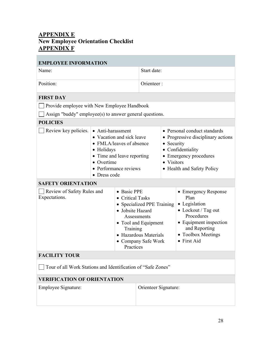# APPENDIX E New Employee Orientation Checklist APPENDIX F

| <b>EMPLOYEE INFORMATION</b>                                                                                                                                                                                    |                                                         |                                                                                                                                                                                         |                                                                                                                                                                                      |  |  |
|----------------------------------------------------------------------------------------------------------------------------------------------------------------------------------------------------------------|---------------------------------------------------------|-----------------------------------------------------------------------------------------------------------------------------------------------------------------------------------------|--------------------------------------------------------------------------------------------------------------------------------------------------------------------------------------|--|--|
| Name:                                                                                                                                                                                                          |                                                         | Start date:                                                                                                                                                                             |                                                                                                                                                                                      |  |  |
| Position:                                                                                                                                                                                                      |                                                         | Orienteer:                                                                                                                                                                              |                                                                                                                                                                                      |  |  |
| <b>FIRST DAY</b>                                                                                                                                                                                               |                                                         |                                                                                                                                                                                         |                                                                                                                                                                                      |  |  |
|                                                                                                                                                                                                                | Provide employee with New Employee Handbook             |                                                                                                                                                                                         |                                                                                                                                                                                      |  |  |
|                                                                                                                                                                                                                | Assign "buddy" employee(s) to answer general questions. |                                                                                                                                                                                         |                                                                                                                                                                                      |  |  |
| <b>POLICIES</b>                                                                                                                                                                                                |                                                         |                                                                                                                                                                                         |                                                                                                                                                                                      |  |  |
| Review key policies.<br>• Anti-harassment<br>• Vacation and sick leave<br>• FMLA/leaves of absence<br>• Holidays<br>• Time and leave reporting<br>• Overtime<br>Performance reviews<br>Dress code<br>$\bullet$ |                                                         |                                                                                                                                                                                         | • Personal conduct standards<br>• Progressive disciplinary actions<br>• Security<br>• Confidentiality<br>• Emergency procedures<br>• Visitors<br>• Health and Safety Policy          |  |  |
| <b>SAFETY ORIENTATION</b>                                                                                                                                                                                      |                                                         |                                                                                                                                                                                         |                                                                                                                                                                                      |  |  |
| Review of Safety Rules and<br>• Basic PPE<br>Expectations.                                                                                                                                                     |                                                         | <b>Critical Tasks</b><br>• Specialized PPE Training<br>• Jobsite Hazard<br>Assessments<br>• Tool and Equipment<br>Training<br>• Hazardous Materials<br>• Company Safe Work<br>Practices | <b>Emergency Response</b><br>$\bullet$<br>Plan<br>• Legislation<br>• Lockout / Tag out<br>Procedures<br>• Equipment inspection<br>and Reporting<br>• Toolbox Meetings<br>• First Aid |  |  |
| <b>FACILITY TOUR</b>                                                                                                                                                                                           |                                                         |                                                                                                                                                                                         |                                                                                                                                                                                      |  |  |
| Tour of all Work Stations and Identification of "Safe Zones"                                                                                                                                                   |                                                         |                                                                                                                                                                                         |                                                                                                                                                                                      |  |  |
| <b>VERIFICATION OF ORIENTATION</b>                                                                                                                                                                             |                                                         |                                                                                                                                                                                         |                                                                                                                                                                                      |  |  |
| Employee Signature:                                                                                                                                                                                            |                                                         | Orienteer Signature:                                                                                                                                                                    |                                                                                                                                                                                      |  |  |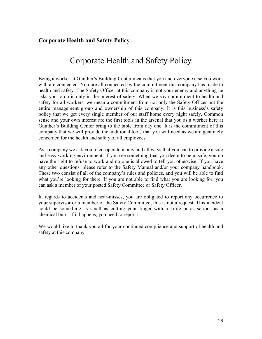## Corporate Health and Safety Policy

# Corporate Health and Safety Policy

Being a worker at Gunther's Building Center means that you and everyone else you work with are connected. You are all connected by the commitment this company has made to health and safety. The Safety Officer at this company is not your enemy and anything he asks you to do is only in the interest of safety. When we say commitment to health and safety for all workers, we mean a commitment from not only the Safety Officer but the entire management group and ownership of this company. It is this business's safety policy that we get every single member of our staff home every night safely. Common sense and your own interest are the first tools in the arsenal that you as a worker here at Gunther's Building Center bring to the table from day one. It is the commitment of this company that we will provide the additional tools that you will need as we are genuinely concerned for the health and safety of all employees.

As a company we ask you to co-operate in any and all ways that you can to provide a safe and easy working environment. If you see something that you deem to be unsafe, you do have the right to refuse to work and no one is allowed to tell you otherwise. If you have any other questions, please refer to the Safety Manual and/or your company handbook. These two consist of all of the company's rules and policies, and you will be able to find what you're looking for there. If you are not able to find what you are looking for, you can ask a member of your posted Safety Committee or Safety Officer.

In regards to accidents and near-misses, you are obligated to report any occurrence to your supervisor or a member of the Safety Committee; this is not a request. This incident could be something as small as cutting your finger with a knife or as serious as a chemical burn. If it happens, you need to report it.

We would like to thank you all for your continued compliance and support of health and safety at this company.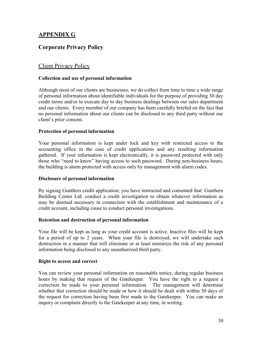# APPENDIX G

## Corporate Privacy Policy

#### Client Privacy Policy

#### Collection and use of personal information

Although most of our clients are businesses, we do collect from time to time a wide range of personal information about identifiable individuals for the purpose of providing 30 day credit terms and/or to execute day to day business dealings between our sales department and our clients. Every member of our company has been carefully briefed on the fact that no personal information about our clients can be disclosed to any third party without our client's prior consent.

#### Protection of personal information

Your personal information is kept under lock and key with restricted access to the accounting office in the case of credit applications and any resulting information gathered. If your information is kept electronically, it is password protected with only those who "need to know" having access to such password. During non-business hours, the building is alarm protected with access only by management with alarm codes.

#### Disclosure of personal information

By signing Gunthers credit application; you have instructed and consented that: Gunthers Building Center Ltd. conduct a credit investigation to obtain whatever information as may be deemed necessary in connection with the establishment and maintenance of a credit account, including cause to conduct personal investigations.

#### Retention and destruction of personal information

Your file will be kept as long as your credit account is active. Inactive files will be kept for a period of up to 2 years. When your file is destroyed, we will undertake such destruction in a manner that will eliminate or at least minimize the risk of any personal information being disclosed to any unauthorized third party.

#### Right to access and correct

You can review your personal information on reasonable notice, during regular business hours by making that request of the Gatekeeper. You have the right to a request a correction be made to your personal information. The management will determine whether that correction should be made or how it should be dealt with within 30 days of the request for correction having been first made to the Gatekeeper. You can make an inquiry or complaint directly to the Gatekeeper at any time, in writing.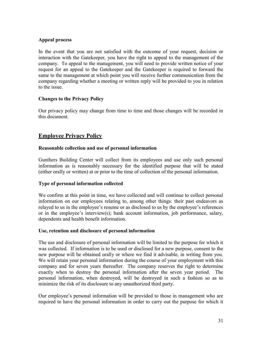#### Appeal process

In the event that you are not satisfied with the outcome of your request, decision or interaction with the Gatekeeper, you have the right to appeal to the management of the company. To appeal to the management, you will need to provide written notice of your request for an appeal to the Gatekeeper and the Gatekeeper is required to forward the same to the management at which point you will receive further communication from the company regarding whether a meeting or written reply will be provided to you in relation to the issue.

#### Changes to the Privacy Policy

Our privacy policy may change from time to time and those changes will be recorded in this document.

#### Employee Privacy Policy

#### Reasonable collection and use of personal information

Gunthers Building Center will collect from its employees and use only such personal information as is reasonably necessary for the identified purpose that will be stated (either orally or written) at or prior to the time of collection of the personal information.

#### Type of personal information collected

We confirm at this point in time, we have collected and will continue to collect personal information on our employees relating to, among other things: their past endeavors as relayed to us in the employee's resume or as disclosed to us by the employee's references or in the employee's interview(s); bank account information, job performance, salary, dependents and health benefit information.

#### Use, retention and disclosure of personal information

The use and disclosure of personal information will be limited to the purpose for which it was collected. If information is to be used or disclosed for a new purpose, consent to the new purpose will be obtained orally or where we find it advisable, in writing from you. We will retain your personal information during the course of your employment with this company and for seven years thereafter. The company reserves the right to determine exactly when to destroy the personal information after the seven year period. The personal information, when destroyed, will be destroyed in such a fashion so as to minimize the risk of its disclosure to any unauthorized third party.

Our employee's personal information will be provided to those in management who are required to have the personal information in order to carry out the purpose for which it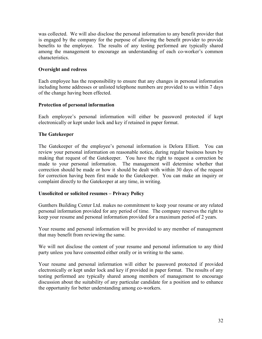was collected. We will also disclose the personal information to any benefit provider that is engaged by the company for the purpose of allowing the benefit provider to provide benefits to the employee. The results of any testing performed are typically shared among the management to encourage an understanding of each co-worker's common characteristics.

#### Oversight and redress

Each employee has the responsibility to ensure that any changes in personal information including home addresses or unlisted telephone numbers are provided to us within 7 days of the change having been effected.

#### Protection of personal information

Each employee's personal information will either be password protected if kept electronically or kept under lock and key if retained in paper format.

#### The Gatekeeper

The Gatekeeper of the employee's personal information is Delora Elliott. You can review your personal information on reasonable notice, during regular business hours by making that request of the Gatekeeper. You have the right to request a correction be made to your personal information. The management will determine whether that correction should be made or how it should be dealt with within 30 days of the request for correction having been first made to the Gatekeeper. You can make an inquiry or complaint directly to the Gatekeeper at any time, in writing.

#### Unsolicited or solicited resumes – Privacy Policy

Gunthers Building Center Ltd. makes no commitment to keep your resume or any related personal information provided for any period of time. The company reserves the right to keep your resume and personal information provided for a maximum period of 2 years.

Your resume and personal information will be provided to any member of management that may benefit from reviewing the same.

We will not disclose the content of your resume and personal information to any third party unless you have consented either orally or in writing to the same.

Your resume and personal information will either be password protected if provided electronically or kept under lock and key if provided in paper format. The results of any testing performed are typically shared among members of management to encourage discussion about the suitability of any particular candidate for a position and to enhance the opportunity for better understanding among co-workers.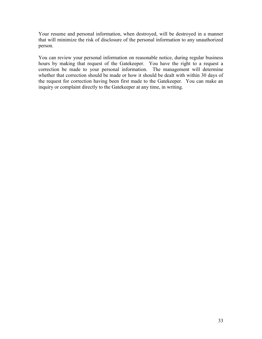Your resume and personal information, when destroyed, will be destroyed in a manner that will minimize the risk of disclosure of the personal information to any unauthorized person.

You can review your personal information on reasonable notice, during regular business hours by making that request of the Gatekeeper. You have the right to a request a correction be made to your personal information. The management will determine whether that correction should be made or how it should be dealt with within 30 days of the request for correction having been first made to the Gatekeeper. You can make an inquiry or complaint directly to the Gatekeeper at any time, in writing.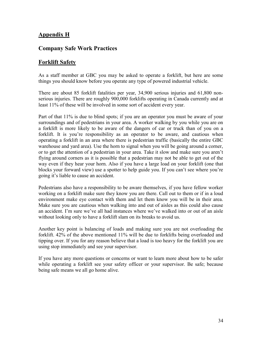## Appendix H

#### Company Safe Work Practices

#### Forklift Safety

As a staff member at GBC you may be asked to operate a forklift, but here are some things you should know before you operate any type of powered industrial vehicle.

There are about 85 forklift fatalities per year, 34,900 serious injuries and 61,800 nonserious injuries. There are roughly 900,000 forklifts operating in Canada currently and at least 11% of these will be involved in some sort of accident every year.

Part of that 11% is due to blind spots; if you are an operator you must be aware of your surroundings and of pedestrians in your area. A worker walking by you while you are on a forklift is more likely to be aware of the dangers of car or truck than of you on a forklift. It is you're responsibility as an operator to be aware, and cautious when operating a forklift in an area where there is pedestrian traffic (basically the entire GBC warehouse and yard area). Use the horn to signal when you will be going around a corner, or to get the attention of a pedestrian in your area. Take it slow and make sure you aren't flying around corners as it is possible that a pedestrian may not be able to get out of the way even if they hear your horn. Also if you have a large load on your forklift (one that blocks your forward view) use a spotter to help guide you. If you can't see where you're going it's liable to cause an accident.

Pedestrians also have a responsibility to be aware themselves, if you have fellow worker working on a forklift make sure they know you are there. Call out to them or if in a loud environment make eye contact with them and let them know you will be in their area. Make sure you are cautious when walking into and out of aisles as this could also cause an accident. I'm sure we've all had instances where we've walked into or out of an aisle without looking only to have a forklift slam on its breaks to avoid us.

Another key point is balancing of loads and making sure you are not overloading the forklift. 42% of the above mentioned 11% will be due to forklifts being overloaded and tipping over. If you for any reason believe that a load is too heavy for the forklift you are using stop immediately and see your supervisor.

If you have any more questions or concerns or want to learn more about how to be safer while operating a forklift see your safety officer or your supervisor. Be safe; because being safe means we all go home alive.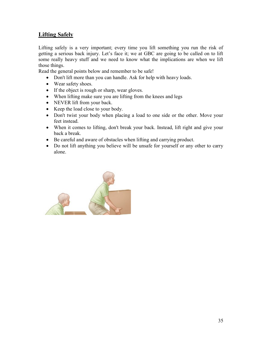# Lifting Safely

Lifting safely is a very important; every time you lift something you run the risk of getting a serious back injury. Let's face it; we at GBC are going to be called on to lift some really heavy stuff and we need to know what the implications are when we lift those things.

Read the general points below and remember to be safe!

- Don't lift more than you can handle. Ask for help with heavy loads.
- Wear safety shoes.
- If the object is rough or sharp, wear gloves.
- When lifting make sure you are lifting from the knees and legs
- NEVER lift from your back.
- Keep the load close to your body.
- Don't twist your body when placing a load to one side or the other. Move your feet instead.
- When it comes to lifting, don't break your back. Instead, lift right and give your back a break.
- Be careful and aware of obstacles when lifting and carrying product.
- Do not lift anything you believe will be unsafe for yourself or any other to carry alone.

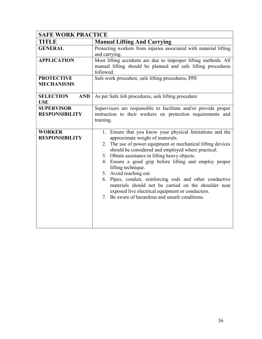| <b>SAFE WORK PRACTICE</b>                    |                                                                                                                                                                                                                                                                                                                                                                                                                                                                                                                                                                                                              |  |  |
|----------------------------------------------|--------------------------------------------------------------------------------------------------------------------------------------------------------------------------------------------------------------------------------------------------------------------------------------------------------------------------------------------------------------------------------------------------------------------------------------------------------------------------------------------------------------------------------------------------------------------------------------------------------------|--|--|
| <b>TITLE</b>                                 | <b>Manual Lifting And Carrying</b>                                                                                                                                                                                                                                                                                                                                                                                                                                                                                                                                                                           |  |  |
| <b>GENERAL</b>                               | Protecting workers from injuries associated with material lifting<br>and carrying.                                                                                                                                                                                                                                                                                                                                                                                                                                                                                                                           |  |  |
| <b>APPLICATION</b>                           | Most lifting accidents are due to improper lifting methods. All<br>manual lifting should be planned and safe lifting procedures<br>followed.                                                                                                                                                                                                                                                                                                                                                                                                                                                                 |  |  |
| <b>PROTECTIVE</b><br><b>MECHANISMS</b>       | Safe work procedure, safe lifting procedures, PPE                                                                                                                                                                                                                                                                                                                                                                                                                                                                                                                                                            |  |  |
| <b>SELECTION</b><br><b>AND</b><br><b>USE</b> | As per Safe Job procedures, safe lifting procedure                                                                                                                                                                                                                                                                                                                                                                                                                                                                                                                                                           |  |  |
| <b>SUPERVISOR</b><br><b>RESPONSIBILITY</b>   | Supervisors are responsible to facilitate and/or provide proper<br>instruction to their workers on protection requirements and<br>training.                                                                                                                                                                                                                                                                                                                                                                                                                                                                  |  |  |
| <b>WORKER</b><br><b>RESPONSIBILITY</b>       | 1. Ensure that you know your physical limitations and the<br>approximate weight of materials.<br>2. The use of power equipment or mechanical lifting devices<br>should be considered and employed where practical.<br>3. Obtain assistance in lifting heavy objects.<br>4. Ensure a good grip before lifting and employ proper<br>lifting technique.<br>5. Avoid reaching out.<br>Pipes, conduit, reinforcing rods and other conductive<br>6.<br>materials should not be carried on the shoulder near<br>exposed live electrical equipment or conductors.<br>7. Be aware of hazardous and unsafe conditions. |  |  |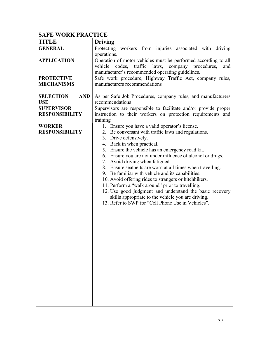| <b>SAFE WORK PRACTICE</b>                    |                                                                                                                                                                                                                                                                                                                                                                                                                                                                                                                                                                                                                                                                                                                          |
|----------------------------------------------|--------------------------------------------------------------------------------------------------------------------------------------------------------------------------------------------------------------------------------------------------------------------------------------------------------------------------------------------------------------------------------------------------------------------------------------------------------------------------------------------------------------------------------------------------------------------------------------------------------------------------------------------------------------------------------------------------------------------------|
| TITLE                                        | <b>Driving</b>                                                                                                                                                                                                                                                                                                                                                                                                                                                                                                                                                                                                                                                                                                           |
| <b>GENERAL</b>                               | Protecting workers from injuries associated with driving<br>operations.                                                                                                                                                                                                                                                                                                                                                                                                                                                                                                                                                                                                                                                  |
| <b>APPLICATION</b>                           | Operation of motor vehicles must be performed according to all<br>codes, traffic laws,<br>company procedures,<br>vehicle<br>and<br>manufacturer's recommended operating guidelines.                                                                                                                                                                                                                                                                                                                                                                                                                                                                                                                                      |
| <b>PROTECTIVE</b><br><b>MECHANISMS</b>       | Safe work procedure, Highway Traffic Act, company rules,<br>manufacturers recommendations                                                                                                                                                                                                                                                                                                                                                                                                                                                                                                                                                                                                                                |
| <b>SELECTION</b><br><b>AND</b><br><b>USE</b> | As per Safe Job Procedures, company rules, and manufacturers<br>recommendations                                                                                                                                                                                                                                                                                                                                                                                                                                                                                                                                                                                                                                          |
| <b>SUPERVISOR</b><br><b>RESPONSIBILITY</b>   | Supervisors are responsible to facilitate and/or provide proper<br>instruction to their workers on protection requirements and<br>training                                                                                                                                                                                                                                                                                                                                                                                                                                                                                                                                                                               |
| <b>WORKER</b><br><b>RESPONSIBILITY</b>       | 1. Ensure you have a valid operator's license.<br>2. Be conversant with traffic laws and regulations.<br>3. Drive defensively.<br>4. Back in when practical.<br>5. Ensure the vehicle has an emergency road kit.<br>6. Ensure you are not under influence of alcohol or drugs.<br>7. Avoid driving when fatigued.<br>8. Ensure seatbelts are worn at all times when travelling.<br>9. Be familiar with vehicle and its capabilities.<br>10. Avoid offering rides to strangers or hitchhikers.<br>11. Perform a "walk around" prior to travelling.<br>12. Use good judgment and understand the basic recovery<br>skills appropriate to the vehicle you are driving.<br>13. Refer to SWP for "Cell Phone Use in Vehicles". |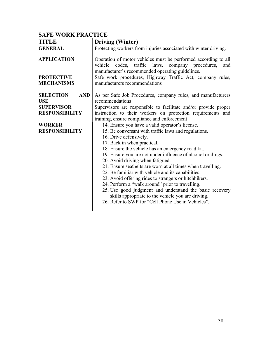| <b>SAFE WORK PRACTICE</b>                    |                                                                                                                                                                                                                                                                                                                                                                                                                                                                                                                                                                                                                                                                                                                                   |
|----------------------------------------------|-----------------------------------------------------------------------------------------------------------------------------------------------------------------------------------------------------------------------------------------------------------------------------------------------------------------------------------------------------------------------------------------------------------------------------------------------------------------------------------------------------------------------------------------------------------------------------------------------------------------------------------------------------------------------------------------------------------------------------------|
| <b>TITLE</b>                                 | <b>Driving (Winter)</b>                                                                                                                                                                                                                                                                                                                                                                                                                                                                                                                                                                                                                                                                                                           |
| <b>GENERAL</b>                               | Protecting workers from injuries associated with winter driving.                                                                                                                                                                                                                                                                                                                                                                                                                                                                                                                                                                                                                                                                  |
| <b>APPLICATION</b>                           | Operation of motor vehicles must be performed according to all<br>traffic laws, company procedures,<br>vehicle<br>codes,<br>and<br>manufacturer's recommended operating guidelines.                                                                                                                                                                                                                                                                                                                                                                                                                                                                                                                                               |
| <b>PROTECTIVE</b><br><b>MECHANISMS</b>       | Safe work procedures, Highway Traffic Act, company rules,<br>manufacturers recommendations                                                                                                                                                                                                                                                                                                                                                                                                                                                                                                                                                                                                                                        |
| <b>SELECTION</b><br><b>AND</b><br><b>USE</b> | As per Safe Job Procedures, company rules, and manufacturers<br>recommendations                                                                                                                                                                                                                                                                                                                                                                                                                                                                                                                                                                                                                                                   |
| <b>SUPERVISOR</b><br><b>RESPONSIBILITY</b>   | Supervisors are responsible to facilitate and/or provide proper<br>instruction to their workers on protection requirements and<br>training, ensure compliance and enforcement                                                                                                                                                                                                                                                                                                                                                                                                                                                                                                                                                     |
| <b>WORKER</b><br><b>RESPONSIBILITY</b>       | 14. Ensure you have a valid operator's license.<br>15. Be conversant with traffic laws and regulations.<br>16. Drive defensively.<br>17. Back in when practical.<br>18. Ensure the vehicle has an emergency road kit.<br>19. Ensure you are not under influence of alcohol or drugs.<br>20. Avoid driving when fatigued.<br>21. Ensure seatbelts are worn at all times when travelling.<br>22. Be familiar with vehicle and its capabilities.<br>23. Avoid offering rides to strangers or hitchhikers.<br>24. Perform a "walk around" prior to travelling.<br>25. Use good judgment and understand the basic recovery<br>skills appropriate to the vehicle you are driving.<br>26. Refer to SWP for "Cell Phone Use in Vehicles". |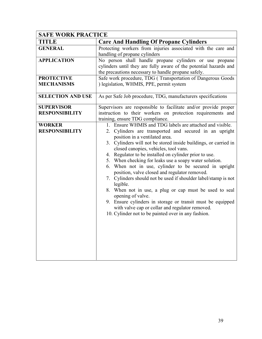| <b>SAFE WORK PRACTICE</b> |                                                                                                                                                                                                                                                                                                                                                                                                                                                                                                                                                                                                                                                                                                                                                                         |
|---------------------------|-------------------------------------------------------------------------------------------------------------------------------------------------------------------------------------------------------------------------------------------------------------------------------------------------------------------------------------------------------------------------------------------------------------------------------------------------------------------------------------------------------------------------------------------------------------------------------------------------------------------------------------------------------------------------------------------------------------------------------------------------------------------------|
| <b>TITLE</b>              | <b>Care And Handling Of Propane Cylinders</b>                                                                                                                                                                                                                                                                                                                                                                                                                                                                                                                                                                                                                                                                                                                           |
| <b>GENERAL</b>            | Protecting workers from injuries associated with the care and                                                                                                                                                                                                                                                                                                                                                                                                                                                                                                                                                                                                                                                                                                           |
|                           | handling of propane cylinders                                                                                                                                                                                                                                                                                                                                                                                                                                                                                                                                                                                                                                                                                                                                           |
| <b>APPLICATION</b>        | No person shall handle propane cylinders or use propane<br>cylinders until they are fully aware of the potential hazards and<br>the precautions necessary to handle propane safely.                                                                                                                                                                                                                                                                                                                                                                                                                                                                                                                                                                                     |
| <b>PROTECTIVE</b>         | Safe work procedure, TDG (Transportation of Dangerous Goods                                                                                                                                                                                                                                                                                                                                                                                                                                                                                                                                                                                                                                                                                                             |
| <b>MECHANISMS</b>         | ) legislation, WHMIS, PPE, permit system                                                                                                                                                                                                                                                                                                                                                                                                                                                                                                                                                                                                                                                                                                                                |
| <b>SELECTION AND USE</b>  | As per Safe Job procedure, TDG, manufacturers specifications                                                                                                                                                                                                                                                                                                                                                                                                                                                                                                                                                                                                                                                                                                            |
| <b>SUPERVISOR</b>         | Supervisors are responsible to facilitate and/or provide proper                                                                                                                                                                                                                                                                                                                                                                                                                                                                                                                                                                                                                                                                                                         |
| <b>RESPONSIBILITY</b>     | instruction to their workers on protection requirements and<br>training, ensure TDG compliance.                                                                                                                                                                                                                                                                                                                                                                                                                                                                                                                                                                                                                                                                         |
| <b>WORKER</b>             | 1. Ensure WHMIS and TDG labels are attached and visible.                                                                                                                                                                                                                                                                                                                                                                                                                                                                                                                                                                                                                                                                                                                |
| <b>RESPONSIBILITY</b>     | 2. Cylinders are transported and secured in an upright<br>position in a ventilated area.<br>3. Cylinders will not be stored inside buildings, or carried in<br>closed canopies, vehicles, tool vans.<br>4. Regulator to be installed on cylinder prior to use.<br>5. When checking for leaks use a soapy water solution.<br>6. When not in use, cylinder to be secured in upright<br>position, valve closed and regulator removed.<br>7. Cylinders should not be used if shoulder label/stamp is not<br>legible.<br>8. When not in use, a plug or cap must be used to seal<br>opening of valve.<br>9. Ensure cylinders in storage or transit must be equipped<br>with valve cap or collar and regulator removed.<br>10. Cylinder not to be painted over in any fashion. |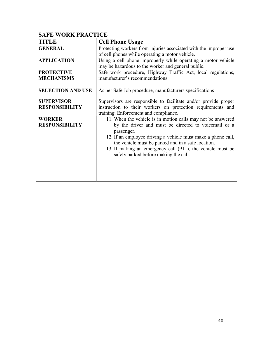| <b>SAFE WORK PRACTICE</b> |                                                                   |
|---------------------------|-------------------------------------------------------------------|
| <b>TITLE</b>              | <b>Cell Phone Usage</b>                                           |
| <b>GENERAL</b>            | Protecting workers from injuries associated with the improper use |
|                           | of cell phones while operating a motor vehicle.                   |
| <b>APPLICATION</b>        | Using a cell phone improperly while operating a motor vehicle     |
|                           | may be hazardous to the worker and general public.                |
| <b>PROTECTIVE</b>         | Safe work procedure, Highway Traffic Act, local regulations,      |
| <b>MECHANISMS</b>         | manufacturer's recommendations                                    |
|                           |                                                                   |
| <b>SELECTION AND USE</b>  | As per Safe Job procedure, manufacturers specifications           |
|                           |                                                                   |
| <b>SUPERVISOR</b>         | Supervisors are responsible to facilitate and/or provide proper   |
| <b>RESPONSIBILITY</b>     | instruction to their workers on protection requirements and       |
|                           | training. Enforcement and compliance.                             |
| <b>WORKER</b>             | 11. When the vehicle is in motion calls may not be answered       |
| <b>RESPONSIBILITY</b>     | by the driver and must be directed to voicemail or a              |
|                           | passenger.                                                        |
|                           | 12. If an employee driving a vehicle must make a phone call,      |
|                           | the vehicle must be parked and in a safe location.                |
|                           | 13. If making an emergency call (911), the vehicle must be        |
|                           | safely parked before making the call.                             |
|                           |                                                                   |
|                           |                                                                   |
|                           |                                                                   |
|                           |                                                                   |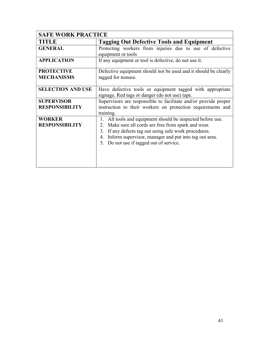| <b>SAFE WORK PRACTICE</b> |                                                                 |  |  |
|---------------------------|-----------------------------------------------------------------|--|--|
| TITLE                     | <b>Tagging Out Defective Tools and Equipment</b>                |  |  |
| <b>GENERAL</b>            | Protecting workers from injuries due to use of defective        |  |  |
|                           | equipment or tools                                              |  |  |
| <b>APPLICATION</b>        | If any equipment or tool is defective, do not use it.           |  |  |
| <b>PROTECTIVE</b>         | Defective equipment should not be used and it should be clearly |  |  |
| <b>MECHANISMS</b>         | tagged for nonuse.                                              |  |  |
|                           |                                                                 |  |  |
| <b>SELECTION AND USE</b>  | Have defective tools or equipment tagged with appropriate       |  |  |
|                           | signage. Red tags or danger (do not use) tape.                  |  |  |
| <b>SUPERVISOR</b>         | Supervisors are responsible to facilitate and/or provide proper |  |  |
| <b>RESPONSIBILITY</b>     | instruction to their workers on protection requirements and     |  |  |
|                           | training.                                                       |  |  |
| <b>WORKER</b>             | 1. All tools and equipment should be inspected before use.      |  |  |
| <b>RESPONSIBILITY</b>     | Make sure all cords are free from spark and wear.<br>2.         |  |  |
|                           | If any defects tag out using safe work procedures.<br>3.        |  |  |
|                           | Inform supervisor, manager and put into tag out area.<br>4.     |  |  |
|                           | Do not use if tagged out of service.<br>5.                      |  |  |
|                           |                                                                 |  |  |
|                           |                                                                 |  |  |
|                           |                                                                 |  |  |
|                           |                                                                 |  |  |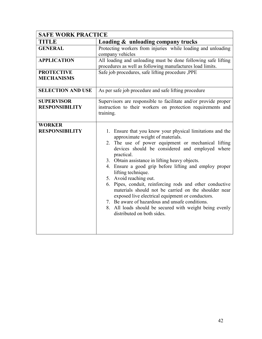| <b>SAFE WORK PRACTICE</b>                  |                                                                                                                                                                                                                                                                                                                                                                                                                                                                                                                                                                                                                                                                                                       |  |  |
|--------------------------------------------|-------------------------------------------------------------------------------------------------------------------------------------------------------------------------------------------------------------------------------------------------------------------------------------------------------------------------------------------------------------------------------------------------------------------------------------------------------------------------------------------------------------------------------------------------------------------------------------------------------------------------------------------------------------------------------------------------------|--|--|
| <b>TITLE</b>                               | Loading & unloading company trucks                                                                                                                                                                                                                                                                                                                                                                                                                                                                                                                                                                                                                                                                    |  |  |
| <b>GENERAL</b>                             | Protecting workers from injuries while loading and unloading<br>company vehicles                                                                                                                                                                                                                                                                                                                                                                                                                                                                                                                                                                                                                      |  |  |
| <b>APPLICATION</b>                         | All loading and unloading must be done following safe lifting<br>procedures as well as following manufactures load limits.                                                                                                                                                                                                                                                                                                                                                                                                                                                                                                                                                                            |  |  |
| <b>PROTECTIVE</b><br><b>MECHANISMS</b>     | Safe job procedures, safe lifting procedure, PPE                                                                                                                                                                                                                                                                                                                                                                                                                                                                                                                                                                                                                                                      |  |  |
| <b>SELECTION AND USE</b>                   | As per safe job procedure and safe lifting procedure                                                                                                                                                                                                                                                                                                                                                                                                                                                                                                                                                                                                                                                  |  |  |
| <b>SUPERVISOR</b><br><b>RESPONSIBILITY</b> | Supervisors are responsible to facilitate and/or provide proper<br>instruction to their workers on protection requirements and<br>training.                                                                                                                                                                                                                                                                                                                                                                                                                                                                                                                                                           |  |  |
| <b>WORKER</b><br><b>RESPONSIBILITY</b>     | 1. Ensure that you know your physical limitations and the<br>approximate weight of materials.<br>2. The use of power equipment or mechanical lifting<br>devices should be considered and employed where<br>practical.<br>3. Obtain assistance in lifting heavy objects.<br>4. Ensure a good grip before lifting and employ proper<br>lifting technique.<br>5. Avoid reaching out.<br>6. Pipes, conduit, reinforcing rods and other conductive<br>materials should not be carried on the shoulder near<br>exposed live electrical equipment or conductors.<br>7. Be aware of hazardous and unsafe conditions.<br>8. All loads should be secured with weight being evenly<br>distributed on both sides. |  |  |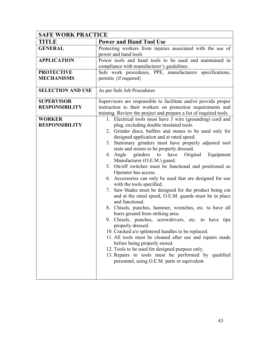| <b>SAFE WORK PRACTICE</b>                                                            |                                                                                                                                                                                                                                                                                                                                                                                                                                                                                                                                                                                                                                                                                                                                                                                                                                                                                                                                                                                                                                                                                                                                                                                                                                                                                                                                                                                        |
|--------------------------------------------------------------------------------------|----------------------------------------------------------------------------------------------------------------------------------------------------------------------------------------------------------------------------------------------------------------------------------------------------------------------------------------------------------------------------------------------------------------------------------------------------------------------------------------------------------------------------------------------------------------------------------------------------------------------------------------------------------------------------------------------------------------------------------------------------------------------------------------------------------------------------------------------------------------------------------------------------------------------------------------------------------------------------------------------------------------------------------------------------------------------------------------------------------------------------------------------------------------------------------------------------------------------------------------------------------------------------------------------------------------------------------------------------------------------------------------|
| TITLE                                                                                | <b>Power and Hand Tool Use</b>                                                                                                                                                                                                                                                                                                                                                                                                                                                                                                                                                                                                                                                                                                                                                                                                                                                                                                                                                                                                                                                                                                                                                                                                                                                                                                                                                         |
| <b>GENERAL</b>                                                                       | Protecting workers from injuries associated with the use of<br>power and hand tools                                                                                                                                                                                                                                                                                                                                                                                                                                                                                                                                                                                                                                                                                                                                                                                                                                                                                                                                                                                                                                                                                                                                                                                                                                                                                                    |
| <b>APPLICATION</b>                                                                   | Power tools and hand tools to be used and maintained in<br>compliance with manufacturer's guidelines.                                                                                                                                                                                                                                                                                                                                                                                                                                                                                                                                                                                                                                                                                                                                                                                                                                                                                                                                                                                                                                                                                                                                                                                                                                                                                  |
| <b>PROTECTIVE</b><br><b>MECHANISMS</b>                                               | Safe work procedures, PPE, manufacturers specifications,<br>permits {if required}                                                                                                                                                                                                                                                                                                                                                                                                                                                                                                                                                                                                                                                                                                                                                                                                                                                                                                                                                                                                                                                                                                                                                                                                                                                                                                      |
| <b>SELECTION AND USE</b>                                                             | As per Safe Job Procedures                                                                                                                                                                                                                                                                                                                                                                                                                                                                                                                                                                                                                                                                                                                                                                                                                                                                                                                                                                                                                                                                                                                                                                                                                                                                                                                                                             |
| <b>SUPERVISOR</b><br><b>RESPONSIBILITY</b><br><b>WORKER</b><br><b>RESPONSIBILITY</b> | Supervisors are responsible to facilitate and/or provide proper<br>instruction to their workers on protection requirements and<br>training. Review the project and prepare a list of required tools.<br>1. Electrical tools must have 3 wire (grounding) cord and<br>plug, excluding double insulated tools.<br>2. Grinder discs, buffers and stones to be used only for<br>designed application and at rated speed.<br>3. Stationary grinders must have properly adjusted tool<br>rests and stones to be properly dressed.<br>grinders to<br>Equipment<br>4. Angle<br>have<br>Original<br>Manufacturer (O.E.M.) guard.<br>5. On/off switches must be functional and positioned so<br>Operator has access.<br>6. Accessories can only be used that are designed for use<br>with the tools specified.<br>7. Saw blades must be designed for the product being cut<br>and at the rated speed, O.E.M. guards must be in place<br>and functional.<br>8. Chisels, punches, hammer, wrenches, etc. to have all<br>burrs ground from striking area.<br>9. Chisels, punches, screwdrivers, etc. to have tips<br>properly dressed.<br>10. Cracked a/o splintered handles to be replaced.<br>11. All tools must be cleaned after use and repairs made<br>before being properly stored.<br>12. Tools to be used for designed purpose only.<br>13. Repairs to tools must be performed by qualified |
|                                                                                      | personnel, using O.E.M. parts or equivalent.                                                                                                                                                                                                                                                                                                                                                                                                                                                                                                                                                                                                                                                                                                                                                                                                                                                                                                                                                                                                                                                                                                                                                                                                                                                                                                                                           |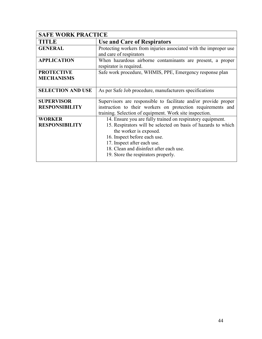| <b>SAFE WORK PRACTICE</b>              |                                                                                                                                                                                                                                                                                                        |
|----------------------------------------|--------------------------------------------------------------------------------------------------------------------------------------------------------------------------------------------------------------------------------------------------------------------------------------------------------|
| TITLE                                  | <b>Use and Care of Respirators</b>                                                                                                                                                                                                                                                                     |
| <b>GENERAL</b>                         | Protecting workers from injuries associated with the improper use<br>and care of respirators                                                                                                                                                                                                           |
| <b>APPLICATION</b>                     | When hazardous airborne contaminants are present, a proper<br>respirator is required.                                                                                                                                                                                                                  |
| <b>PROTECTIVE</b><br><b>MECHANISMS</b> | Safe work procedure, WHMIS, PPE, Emergency response plan                                                                                                                                                                                                                                               |
| <b>SELECTION AND USE</b>               | As per Safe Job procedure, manufacturers specifications                                                                                                                                                                                                                                                |
| <b>SUPERVISOR</b>                      | Supervisors are responsible to facilitate and/or provide proper                                                                                                                                                                                                                                        |
| <b>RESPONSIBILITY</b>                  | instruction to their workers on protection requirements and<br>training. Selection of equipment. Work site inspection.                                                                                                                                                                                 |
| <b>WORKER</b><br><b>RESPONSIBILITY</b> | 14. Ensure you are fully trained on respiratory equipment.<br>15. Respirators will be selected on basis of hazards to which<br>the worker is exposed.<br>16. Inspect before each use.<br>17. Inspect after each use.<br>18. Clean and disinfect after each use.<br>19. Store the respirators properly. |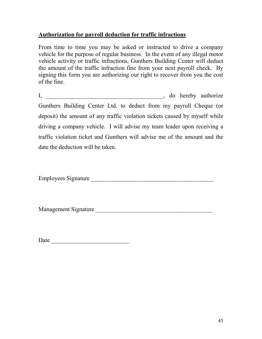# Authorization for payroll deduction for traffic infractions

From time to time you may be asked or instructed to drive a company vehicle for the purpose of regular business. In the event of any illegal motor vehicle activity or traffic infractions, Gunthers Building Center will deduct the amount of the traffic infraction fine from your next payroll check. By signing this form you are authorizing our right to recover from you the cost of the fine.

I, \_\_\_\_\_\_\_\_\_\_\_\_\_\_\_\_\_\_\_\_\_\_\_\_\_\_\_\_\_\_\_\_\_\_\_\_\_\_\_, do hereby authorize Gunthers Building Center Ltd. to deduct from my payroll Cheque (or deposit) the amount of any traffic violation tickets caused by myself while driving a company vehicle. I will advise my team leader upon receiving a traffic violation ticket and Gunthers will advise me of the amount and the date the deduction will be taken.

Employees Signature

Management Signature **Example 20** 

Date \_\_\_\_\_\_\_\_\_\_\_\_\_\_\_\_\_\_\_\_\_\_\_\_\_\_